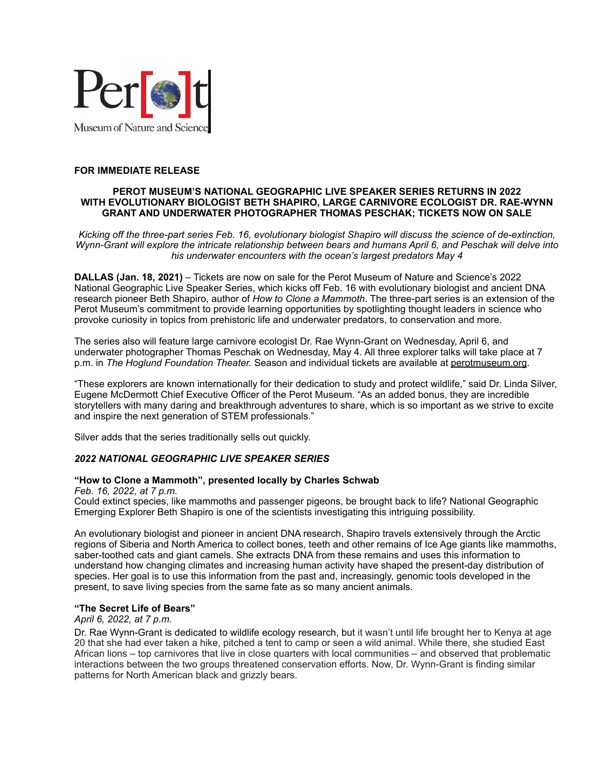

## **FOR IMMEDIATE RELEASE**

#### **PEROT MUSEUM'S NATIONAL GEOGRAPHIC LIVE SPEAKER SERIES RETURNS IN 2022 WITH EVOLUTIONARY BIOLOGIST BETH SHAPIRO, LARGE CARNIVORE ECOLOGIST DR. RAE-WYNN GRANT AND UNDERWATER PHOTOGRAPHER THOMAS PESCHAK; TICKETS NOW ON SALE**

*Kicking off the three-part series Feb. 16, evolutionary biologist Shapiro will discuss the science of de-extinction, Wynn-Grant will explore the intricate relationship between bears and humans April 6, and Peschak will delve into his underwater encounters with the ocean's largest predators May 4*

**DALLAS (Jan. 18, 2021)** – Tickets are now on sale for the Perot Museum of Nature and Science's 2022 National Geographic Live Speaker Series, which kicks off Feb. 16 with evolutionary biologist and ancient DNA research pioneer Beth Shapiro, author of *How to Clone a Mammoth*. The three-part series is an extension of the Perot Museum's commitment to provide learning opportunities by spotlighting thought leaders in science who provoke curiosity in topics from prehistoric life and underwater predators, to conservation and more.

The series also will feature large carnivore ecologist Dr. Rae Wynn-Grant on Wednesday, April 6, and underwater photographer Thomas Peschak on Wednesday, May 4. All three explorer talks will take place at 7 p.m. in *The Hoglund Foundation Theater.* Season and individual tickets are available at [perotmuseum.org](http://www.perotmuseum.org).

"These explorers are known internationally for their dedication to study and protect wildlife," said Dr. Linda Silver, Eugene McDermott Chief Executive Officer of the Perot Museum. "As an added bonus, they are incredible storytellers with many daring and breakthrough adventures to share, which is so important as we strive to excite and inspire the next generation of STEM professionals."

Silver adds that the series traditionally sells out quickly.

## *2022 NATIONAL GEOGRAPHIC LIVE SPEAKER SERIES*

## **"How to Clone a Mammoth", presented locally by Charles Schwab**

*Feb. 16, 2022, at 7 p.m.*

Could extinct species, like mammoths and passenger pigeons, be brought back to life? National Geographic Emerging Explorer Beth Shapiro is one of the scientists investigating this intriguing possibility.

An evolutionary biologist and pioneer in ancient DNA research, Shapiro travels extensively through the Arctic regions of Siberia and North America to collect bones, teeth and other remains of Ice Age giants like mammoths, saber-toothed cats and giant camels. She extracts DNA from these remains and uses this information to understand how changing climates and increasing human activity have shaped the present-day distribution of species. Her goal is to use this information from the past and, increasingly, genomic tools developed in the present, to save living species from the same fate as so many ancient animals.

## **"The Secret Life of Bears"**

*April 6, 2022, at 7 p.m.*

Dr. Rae Wynn-Grant is dedicated to wildlife ecology research, but it wasn't until life brought her to Kenya at age 20 that she had ever taken a hike, pitched a tent to camp or seen a wild animal. While there, she studied East African lions – top carnivores that live in close quarters with local communities – and observed that problematic interactions between the two groups threatened conservation efforts. Now, Dr. Wynn-Grant is finding similar patterns for North American black and grizzly bears.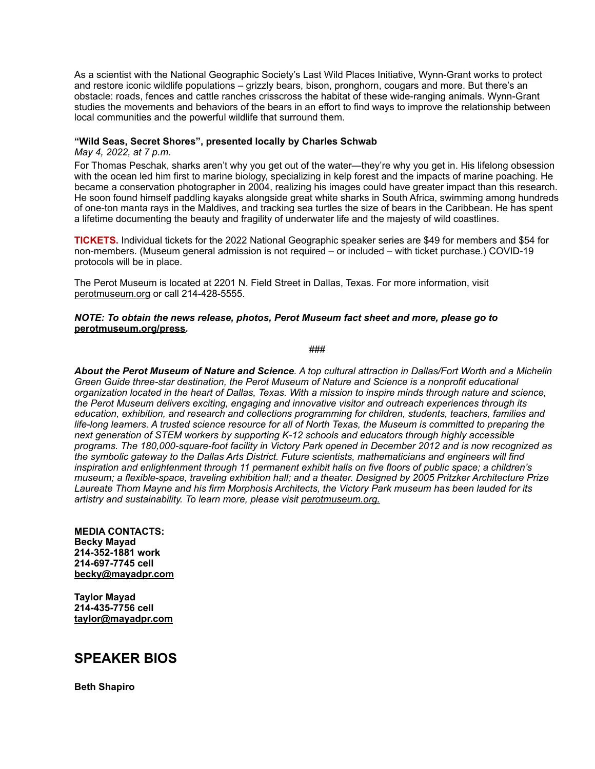As a scientist with the National Geographic Society's Last Wild Places Initiative, Wynn-Grant works to protect and restore iconic wildlife populations – grizzly bears, bison, pronghorn, cougars and more. But there's an obstacle: roads, fences and cattle ranches crisscross the habitat of these wide-ranging animals. Wynn-Grant studies the movements and behaviors of the bears in an effort to find ways to improve the relationship between local communities and the powerful wildlife that surround them.

### **"Wild Seas, Secret Shores", presented locally by Charles Schwab**

*May 4, 2022, at 7 p.m.*

For Thomas Peschak, sharks aren't why you get out of the water—they're why you get in. His lifelong obsession with the ocean led him first to marine biology, specializing in kelp forest and the impacts of marine poaching. He became a conservation photographer in 2004, realizing his images could have greater impact than this research. He soon found himself paddling kayaks alongside great white sharks in South Africa, swimming among hundreds of one-ton manta rays in the Maldives, and tracking sea turtles the size of bears in the Caribbean. He has spent a lifetime documenting the beauty and fragility of underwater life and the majesty of wild coastlines.

**TICKETS.** Individual tickets for the 2022 National Geographic speaker series are \$49 for members and \$54 for non-members. (Museum general admission is not required – or included – with ticket purchase.) COVID-19 protocols will be in place.

The Perot Museum is located at 2201 N. Field Street in Dallas, Texas. For more information, visit [perotmuseum.org](http://www.perotmuseum.org) or call 214-428-5555.

#### *NOTE: To obtain the news release, photos, Perot Museum fact sheet and more, please go to*  **[perotmuseum.org/press](http://www.perotmuseum.org/access.html?p=about-the-perot_newsroom_press)***.*

*###*

*About the Perot Museum of Nature and Science. A top cultural attraction in Dallas/Fort Worth and a Michelin Green Guide three-star destination, the Perot Museum of Nature and Science is a nonprofit educational organization located in the heart of Dallas, Texas. With a mission to inspire minds through nature and science, the Perot Museum delivers exciting, engaging and innovative visitor and outreach experiences through its education, exhibition, and research and collections programming for children, students, teachers, families and life-long learners. A trusted science resource for all of North Texas, the Museum is committed to preparing the next generation of STEM workers by supporting K-12 schools and educators through highly accessible programs. The 180,000-square-foot facility in Victory Park opened in December 2012 and is now recognized as the symbolic gateway to the Dallas Arts District. Future scientists, mathematicians and engineers will find inspiration and enlightenment through 11 permanent exhibit halls on five floors of public space; a children's museum; a flexible-space, traveling exhibition hall; and a theater. Designed by 2005 Pritzker Architecture Prize Laureate Thom Mayne and his firm Morphosis Architects, the Victory Park museum has been lauded for its artistry and sustainability. To learn more, please visit [perotmuseum.org](http://perotmuseum.org).*

**MEDIA CONTACTS: Becky Mayad 214-352-1881 work 214-697-7745 cell [becky@mayadpr.com](mailto:becky@mayadpr.com)**

**Taylor Mayad 214-435-7756 cell [taylor@mayadpr.com](mailto:taylor@mayadpr.com)**

# **SPEAKER BIOS**

**Beth Shapiro**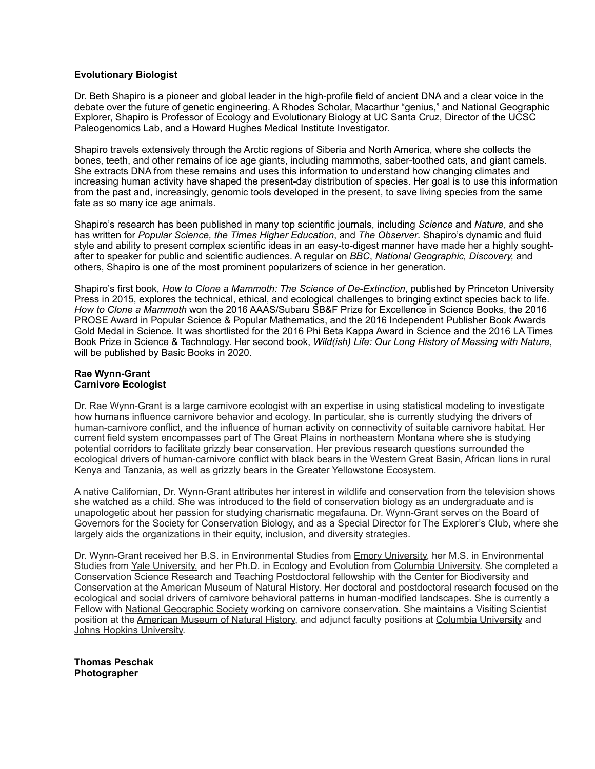## **Evolutionary Biologist**

Dr. Beth Shapiro is a pioneer and global leader in the high-profile field of ancient DNA and a clear voice in the debate over the future of genetic engineering. A Rhodes Scholar, Macarthur "genius," and National Geographic Explorer, Shapiro is Professor of Ecology and Evolutionary Biology at UC Santa Cruz, Director of the UCSC Paleogenomics Lab, and a Howard Hughes Medical Institute Investigator.

Shapiro travels extensively through the Arctic regions of Siberia and North America, where she collects the bones, teeth, and other remains of ice age giants, including mammoths, saber-toothed cats, and giant camels. She extracts DNA from these remains and uses this information to understand how changing climates and increasing human activity have shaped the present-day distribution of species. Her goal is to use this information from the past and, increasingly, genomic tools developed in the present, to save living species from the same fate as so many ice age animals.

Shapiro's research has been published in many top scientific journals, including *Science* and *Nature*, and she has written for *Popular Science, the Times Higher Education*, and *The Observer*. Shapiro's dynamic and fluid style and ability to present complex scientific ideas in an easy-to-digest manner have made her a highly soughtafter to speaker for public and scientific audiences. A regular on *BBC*, *National Geographic, Discovery,* and others, Shapiro is one of the most prominent popularizers of science in her generation.

Shapiro's first book, *How to Clone a Mammoth: The Science of De-Extinction*, published by Princeton University Press in 2015, explores the technical, ethical, and ecological challenges to bringing extinct species back to life. *How to Clone a Mammoth* won the 2016 AAAS/Subaru SB&F Prize for Excellence in Science Books, the 2016 PROSE Award in Popular Science & Popular Mathematics, and the 2016 Independent Publisher Book Awards Gold Medal in Science. It was shortlisted for the 2016 Phi Beta Kappa Award in Science and the 2016 LA Times Book Prize in Science & Technology. Her second book, *Wild(ish) Life: Our Long History of Messing with Nature*, will be published by Basic Books in 2020.

## **Rae Wynn-Grant Carnivore Ecologist**

Dr. Rae Wynn-Grant is a large carnivore ecologist with an expertise in using statistical modeling to investigate how humans influence carnivore behavior and ecology. In particular, she is currently studying the drivers of human-carnivore conflict, and the influence of human activity on connectivity of suitable carnivore habitat. Her current field system encompasses part of The Great Plains in northeastern Montana where she is studying potential corridors to facilitate grizzly bear conservation. Her previous research questions surrounded the ecological drivers of human-carnivore conflict with black bears in the Western Great Basin, African lions in rural Kenya and Tanzania, as well as grizzly bears in the Greater Yellowstone Ecosystem.

A native Californian, Dr. Wynn-Grant attributes her interest in wildlife and conservation from the television shows she watched as a child. She was introduced to the field of conservation biology as an undergraduate and is unapologetic about her passion for studying charismatic megafauna. Dr. Wynn-Grant serves on the Board of Governors for the [Society for Conservation Biology,](https://conbio.org/) and as a Special Director for [The Explorer's Club](https://explorers.org/), where she largely aids the organizations in their equity, inclusion, and diversity strategies.

Dr. Wynn-Grant received her B.S. in Environmental Studies from [Emory University,](http://envs.emory.edu/home/) her M.S. in Environmental Studies from [Yale University,](http://environment.yale.edu/) and her Ph.D. in Ecology and Evolution from [Columbia University.](http://e3b.columbia.edu/) She completed a Conservation Science Research and Teaching Postdoctoral fellowship with the [Center for Biodiversity and](https://www.amnh.org/our-research/center-for-biodiversity-conservation)  [Conservation](https://www.amnh.org/our-research/center-for-biodiversity-conservation) at the [American Museum of Natural History](http://amnh.org/). Her doctoral and postdoctoral research focused on the ecological and social drivers of carnivore behavioral patterns in human-modified landscapes. She is currently a Fellow with [National Geographic Society](https://www.nationalgeographic.org/) working on carnivore conservation. She maintains a Visiting Scientist position at the [American Museum of Natural History,](http://amnh.org/) and adjunct faculty positions at [Columbia University](http://e3b.columbia.edu/) and [Johns Hopkins University](http://advanced.jhu.edu/about-us/faculty/rae-wynn-grant/).

**Thomas Peschak Photographer**